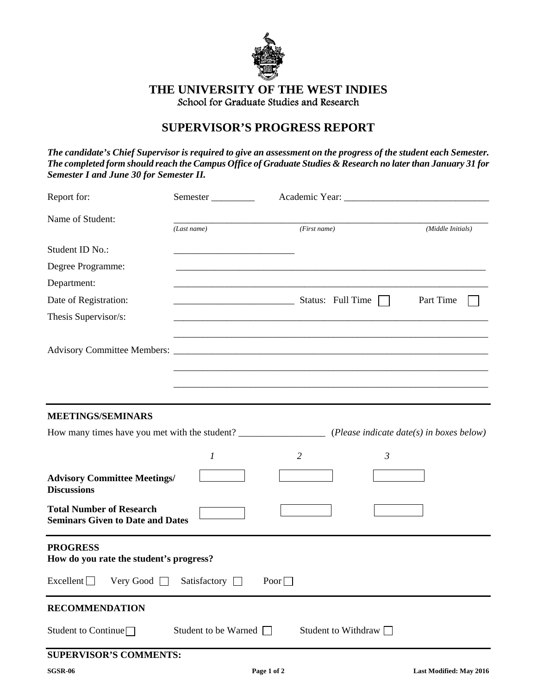

## **THE UNIVERSITY OF THE WEST INDIES**  School for Graduate Studies and Research

# **SUPERVISOR'S PROGRESS REPORT**

*The candidate's Chief Supervisor is required to give an assessment on the progress of the student each Semester. The completed form should reach the Campus Office of Graduate Studies & Research no later than January 31 for Semester I and June 30 for Semester II.* 

| Report for:                                                                           | Semester                    |                       |                         |
|---------------------------------------------------------------------------------------|-----------------------------|-----------------------|-------------------------|
| Name of Student:                                                                      | (Last name)                 | (First name)          | (Middle Initials)       |
| Student ID No.:                                                                       |                             |                       |                         |
| Degree Programme:                                                                     |                             |                       |                         |
| Department:                                                                           |                             |                       |                         |
| Date of Registration:                                                                 |                             | Status: Full Time     | Part Time               |
| Thesis Supervisor/s:                                                                  |                             |                       |                         |
|                                                                                       |                             |                       |                         |
|                                                                                       |                             |                       |                         |
| <b>MEETINGS/SEMINARS</b><br><b>Advisory Committee Meetings/</b><br><b>Discussions</b> | $\boldsymbol{l}$            | $\overline{2}$        | $\mathfrak{Z}$          |
| <b>Total Number of Research</b><br><b>Seminars Given to Date and Dates</b>            |                             |                       |                         |
| <b>PROGRESS</b><br>How do you rate the student's progress?                            |                             |                       |                         |
| Excellent Very Good Satisfactory □ Poor □                                             |                             |                       |                         |
| <b>RECOMMENDATION</b>                                                                 |                             |                       |                         |
| Student to Continue $\Box$                                                            | Student to be Warned $\Box$ | Student to Withdraw □ |                         |
| <b>SUPERVISOR'S COMMENTS:</b>                                                         |                             |                       |                         |
| <b>SGSR-06</b>                                                                        | Page 1 of 2                 |                       | Last Modified: May 2016 |